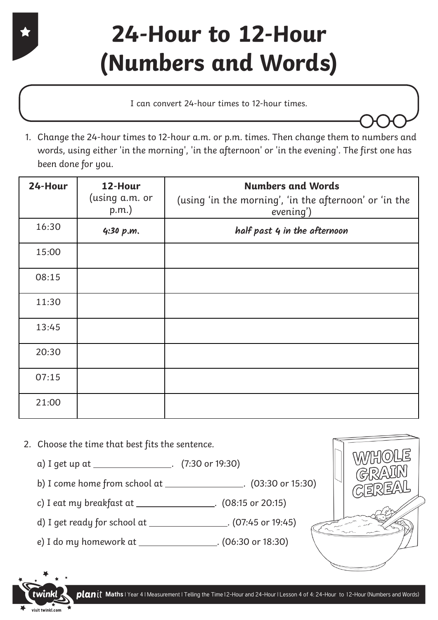#### **24-Hour to 12-Hour (Numbers and Words)**

I can convert 24-hour times to 12-hour times.

1. Change the 24-hour times to 12-hour a.m. or p.m. times. Then change them to numbers and words, using either 'in the morning', 'in the afternoon' or 'in the evening'. The first one has been done for you.

| 24-Hour | 12-Hour<br>(using a.m. or<br>$p.m.$ ) | <b>Numbers and Words</b><br>(using 'in the morning', 'in the afternoon' or 'in the<br>evening') |  |
|---------|---------------------------------------|-------------------------------------------------------------------------------------------------|--|
| 16:30   | 4:30 p.m.                             | half past 4 in the afternoon                                                                    |  |
| 15:00   |                                       |                                                                                                 |  |
| 08:15   |                                       |                                                                                                 |  |
| 11:30   |                                       |                                                                                                 |  |
| 13:45   |                                       |                                                                                                 |  |
| 20:30   |                                       |                                                                                                 |  |
| 07:15   |                                       |                                                                                                 |  |
| 21:00   |                                       |                                                                                                 |  |

2. Choose the time that best fits the sentence.

visit twinkl.com

- a) I get up at \_\_\_\_\_\_\_\_\_\_\_\_\_\_\_\_\_. (7:30 or 19:30)
- b) I come home from school at \_\_\_\_\_\_\_\_\_\_\_\_\_\_\_\_. (03:30 or 15:30)
- c) I eat my breakfast at . (08:15 or 20:15)
- d) I get ready for school at \_\_\_\_\_\_\_\_\_\_\_\_\_\_\_\_\_\_. (07:45 or 19:45)
- e) I do my homework at . (06:30 or 18:30)



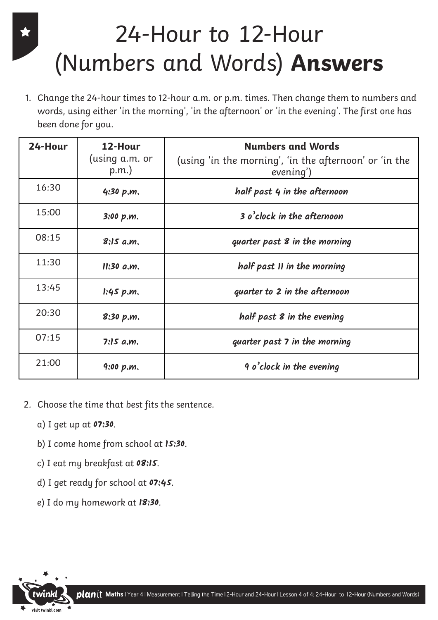### 24-Hour to 12-Hour (Numbers and Words) **Answers**

1. Change the 24-hour times to 12-hour a.m. or p.m. times. Then change them to numbers and words, using either 'in the morning', 'in the afternoon' or 'in the evening'. The first one has been done for you.

| 24-Hour | 12-Hour<br>(using a.m. or<br>p.m. | <b>Numbers and Words</b><br>(using 'in the morning', 'in the afternoon' or 'in the<br>evening') |  |  |
|---------|-----------------------------------|-------------------------------------------------------------------------------------------------|--|--|
| 16:30   | 4:30 p.m.                         | half past 4 in the afternoon                                                                    |  |  |
| 15:00   | 3:00 p.m.                         | 3 o'clock in the afternoon                                                                      |  |  |
| 08:15   | 8:15a.m.                          | quarter past 8 in the morning                                                                   |  |  |
| 11:30   | $11:30$ a.m.                      | half past II in the morning                                                                     |  |  |
| 13:45   | 1.45 p.m.                         | quarter to 2 in the afternoon                                                                   |  |  |
| 20:30   | 8:30 p.m.                         | half past 8 in the evening                                                                      |  |  |
| 07:15   | 7:15a.m.                          | quarter past 7 in the morning                                                                   |  |  |
| 21:00   | 9:00 p.m.                         | 9 o'clock in the evening                                                                        |  |  |

- 2. Choose the time that best fits the sentence.
	- a) I get up at **07:30**.
	- b) I come home from school at **15:30**.
	- c) I eat my breakfast at **08:15**.
	- d) I get ready for school at **07:45**.
	- e) I do my homework at **18:30**.

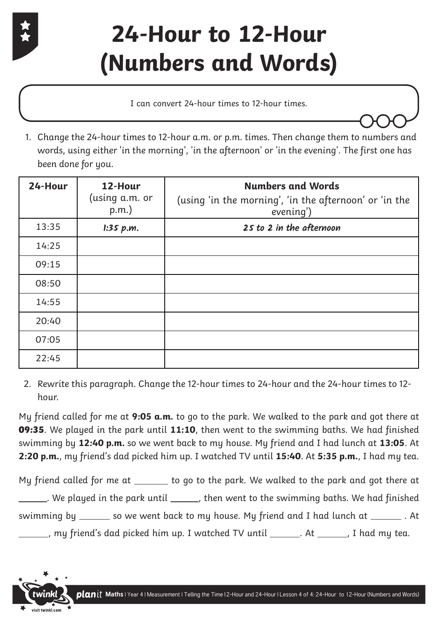

### **24-Hour to 12-Hour (Numbers and Words)**

I can convert 24-hour times to 12-hour times.

1. Change the 24-hour times to 12-hour a.m. or p.m. times. Then change them to numbers and words, using either 'in the morning', 'in the afternoon' or 'in the evening'. The first one has been done for you.

| 24-Hour | 12-Hour<br>(using a.m. or<br>$p.m.$ ) | <b>Numbers and Words</b><br>(using 'in the morning', 'in the afternoon' or 'in the<br>evening') |  |
|---------|---------------------------------------|-------------------------------------------------------------------------------------------------|--|
| 13:35   | 1:35 p.m.                             | 25 to 2 in the afternoon                                                                        |  |
| 14:25   |                                       |                                                                                                 |  |
| 09:15   |                                       |                                                                                                 |  |
| 08:50   |                                       |                                                                                                 |  |
| 14:55   |                                       |                                                                                                 |  |
| 20:40   |                                       |                                                                                                 |  |
| 07:05   |                                       |                                                                                                 |  |
| 22:45   |                                       |                                                                                                 |  |

2. Rewrite this paragraph. Change the 12-hour times to 24-hour and the 24-hour times to 12 hour.

My friend called for me at **9:05 a.m.** to go to the park. We walked to the park and got there at **09:35**. We played in the park until **11:10**, then went to the swimming baths. We had finished swimming by **12:40 p.m.** so we went back to my house. My friend and I had lunch at **13:05**. At **2:20 p.m.**, my friend's dad picked him up. I watched TV until **15:40**. At **5:35 p.m.**, I had my tea.

My friend called for me at \_\_\_\_\_\_ to go to the park. We walked to the park and got there at  $\Box$ . We played in the park until  $\Box$ , then went to the swimming baths. We had finished swimming by \_\_\_\_\_ so we went back to my house. My friend and I had lunch at \_\_\_\_\_\_\_. At \_\_, my friend's dad picked him up. I watched TV until \_\_\_\_\_\_\_. At \_\_\_\_\_\_\_, I had my tea.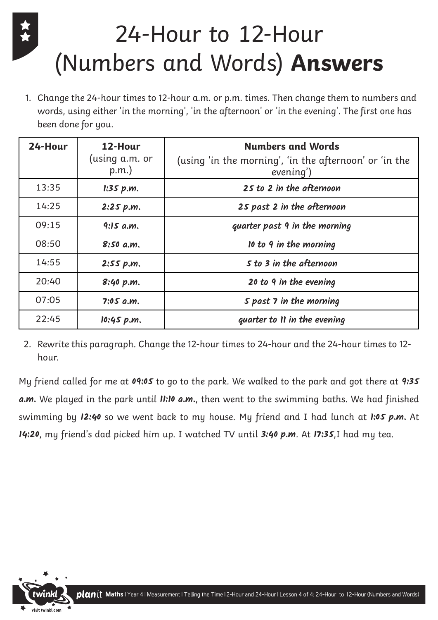## 24-Hour to 12-Hour (Numbers and Words) **Answers**

1. Change the 24-hour times to 12-hour a.m. or p.m. times. Then change them to numbers and words, using either 'in the morning', 'in the afternoon' or 'in the evening'. The first one has been done for you.

| 24-Hour | 12-Hour<br>(using a.m. or<br>$p.m.$ ) | <b>Numbers and Words</b><br>(using 'in the morning', 'in the afternoon' or 'in the<br>evening') |  |
|---------|---------------------------------------|-------------------------------------------------------------------------------------------------|--|
| 13:35   | 1:35 p.m.                             | 25 to 2 in the afternoon                                                                        |  |
| 14:25   | 2:25 p.m.                             | 25 past 2 in the afternoon                                                                      |  |
| 09:15   | 9:15a.m.                              | quarter past 9 in the morning                                                                   |  |
| 08:50   | 8:50 a.m.                             | 10 to 9 in the morning                                                                          |  |
| 14:55   | 2:55 p.m.                             | S to 3 in the afternoon                                                                         |  |
| 20:40   | 8:40 p.m.                             | 20 to 9 in the evening                                                                          |  |
| 07:05   | $7:05$ a.m.                           | S past 7 in the morning                                                                         |  |
| 22:45   | 10:45 p.m.                            | quarter to II in the evening                                                                    |  |

2. Rewrite this paragraph. Change the 12-hour times to 24-hour and the 24-hour times to 12 hour.

My friend called for me at **09:05** to go to the park. We walked to the park and got there at **9:35 a.m.** We played in the park until **11:10 a.m.**, then went to the swimming baths. We had finished swimming by **12:40** so we went back to my house. My friend and I had lunch at **1:05 p.m.** At **14:20**, my friend's dad picked him up. I watched TV until **3:40 p.m**. At **17:35**,I had my tea.

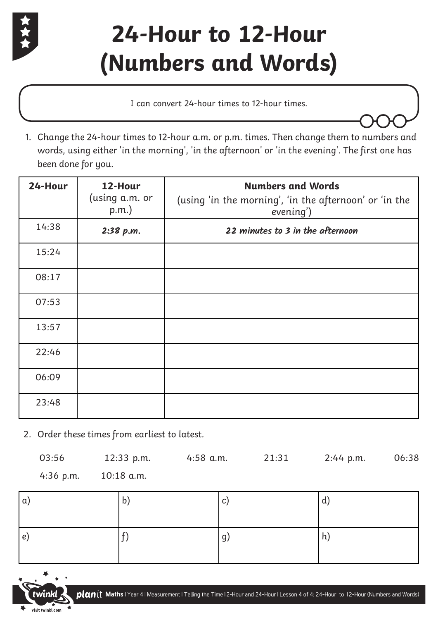

### **24-Hour to 12-Hour (Numbers and Words)**

I can convert 24-hour times to 12-hour times.

1. Change the 24-hour times to 12-hour a.m. or p.m. times. Then change them to numbers and words, using either 'in the morning', 'in the afternoon' or 'in the evening'. The first one has been done for you.

| 24-Hour | 12-Hour<br>(using a.m. or<br>$p.m.$ ) | <b>Numbers and Words</b><br>(using 'in the morning', 'in the afternoon' or 'in the<br>evening') |  |
|---------|---------------------------------------|-------------------------------------------------------------------------------------------------|--|
| 14:38   | 2:38 p.m.                             | 22 minutes to 3 in the afternoon                                                                |  |
| 15:24   |                                       |                                                                                                 |  |
| 08:17   |                                       |                                                                                                 |  |
| 07:53   |                                       |                                                                                                 |  |
| 13:57   |                                       |                                                                                                 |  |
| 22:46   |                                       |                                                                                                 |  |
| 06:09   |                                       |                                                                                                 |  |
| 23:48   |                                       |                                                                                                 |  |

2. Order these times from earliest to latest.

| 03:56     | $12:33$ p.m. | 4:58 a.m. | 21:31 | 2:44 p.m. | 06:38 |
|-----------|--------------|-----------|-------|-----------|-------|
| 4:36 p.m. | 10:18 a.m.   |           |       |           |       |

| $\alpha$ | $\mathsf{b}$ | $\mathbf{C}$ | d)              |
|----------|--------------|--------------|-----------------|
| e)       |              | ۱g,          | $\vert h \vert$ |